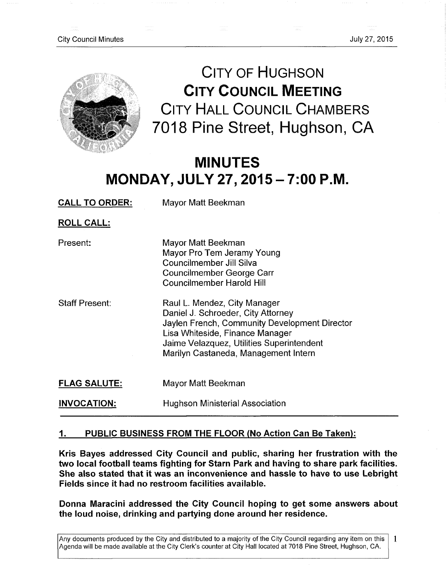

**CITY OF HUGHSON CITY COUNCIL MEETING CITY HALL COUNCIL CHAMBERS**  7018 Pine Street, Hughson, **C A** 

# **MINUTES MONDAY, JULY 27,2015 - 7:00 P.M.**

**CALL TO ORDER:** Mayor Matt Beekman

**ROLL CALL:** 

| Present: | Mayor Matt Beekman         |
|----------|----------------------------|
|          | Mayor Pro Tem Jeramy Young |
|          | Councilmember Jill Silva   |
|          | Councilmember George Carr  |
|          | Councilmember Harold Hill  |
|          |                            |

- Staff Present: Raul L. Mendez, City Manager Daniel J. Schroeder, City Attorney Jaylen French, Community Development Director Lisa Whiteside, Finance Manager Jaime Velazquez, Utilities Superintendent Marilyn Castaneda, Management Intern
- **FLAG SALUTE:**  Mayor Matt Beekman

**INVOCATION:**  Hughson Ministerial Association

# **1 • PUBLIC BUSINESS FROM THE FLOOR (No Action Can Be Taken):**

**Kris Bayes addressed City Council and public, sharing her frustration with the two local football teams fighting for Starn Park and having to share park facilities. She also stated that it was an inconvenience and hassle to have to use Lebright Fields since it had no restroom facilities available.** 

**Donna Maracini addressed the City Council hoping to get some answers about the loud noise, drinking and partying done around her residence.** 

Any documents produced by the City and distributed to a majority of the City Council regarding any item on this 1 Agenda will be made available at the City Clerk's counter at City Hall located at 7018 Pine Street, Hughson, CA.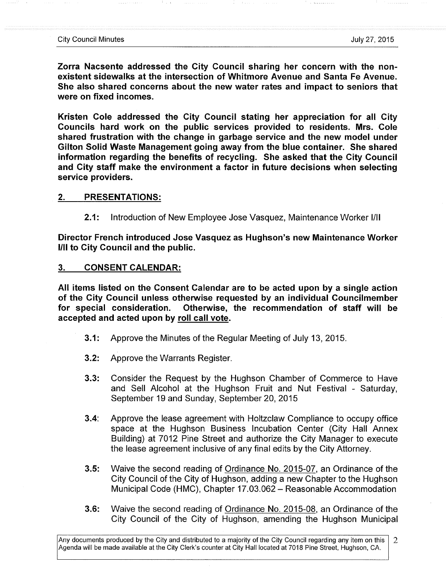**Zorra Nacsente addressed the City Council sharing her concern with the non**existent sidewalks at the intersection of Whitmore Avenue and Santa Fe Avenue. **She also shared concerns about the new water rates and impact to seniors that were on fixed incomes.** 

**Kristen Cole addressed the City Council stating her appreciation for all City Councils hard work on the public services provided to residents. Mrs. Cole shared frustration with the change in garbage service and the new model under Gilton Solid Waste Management going away from the blue container. She shared information regarding the benefits of recycling. She asked that the City Council and City staff make the environment a factor in future decisions when selecting service providers.** 

## **2. PRESENTATIONS:**

**2.1:** Introduction of New Employee Jose Vasquez, Maintenance Worker I/II

**Director French introduced Jose Vasquez as Hughson's new Maintenance Worker I/II to City Council and the public.** 

## **3. CONSENT CALENDAR:**

**All items listed on the Consent Calendar are to be acted upon by a single action of the City Council unless otherwise requested by an individual Councilmember for special consideration. Otherwise, the recommendation of staff will be accepted and acted upon by roll call vote.** 

- **3.1:** Approve the Minutes of the Regular Meeting of July 13, 2015.
- **3.2:** Approve the Warrants Register.
- **3.3:** Consider the Request by the Hughson Chamber of Commerce to Have and Sell Alcohol at the Hughson Fruit and Nut Festival - Saturday, September 19 and Sunday, September 20, 2015
- **3.4:** Approve the lease agreement with Holtzclaw Compliance to occupy office space at the Hughson Business Incubation Center (City Hall Annex Building) at 7012 Pine Street and authorize the City Manager to execute the lease agreement inclusive of any final edits by the City Attorney.
- **3.5:** Waive the second reading of Ordinance No. 2015-07, an Ordinance of the City Council of the City of Hughson, adding a new Chapter to the Hughson Municipal Code (HMC), Chapter 17.03.062 - Reasonable Accommodation
- **3.6:** Waive the second reading of Ordinance No. 2015-08, an Ordinance of the City Council of the City of Hughson, amending the Hughson Municipal

Any documents produced by the City and distributed to a majority ofthe City Council regarding any item on this  $\overline{2}$ Agenda will be made available at the City Clerk's counter at City Hall located at 7018 Pine Street, Hughson, CA.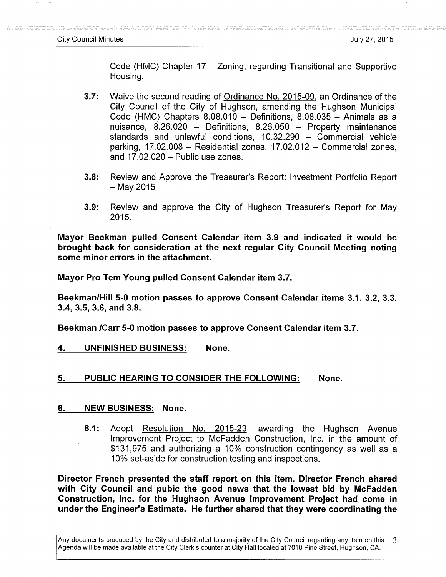Code (HMC) Chapter 17 – Zoning, regarding Transitional and Supportive Housing.

- **3.7:** Waive the second reading of Ordinance No. 2015-09. an Ordinance of the City Council of the City of Hughson, amending the Hughson Municipal Code (HMC) Chapters  $8.08.010 -$  Definitions,  $8.08.035 -$  Animals as a nuisance, 8.26.020 - Definitions, 8.26.050 - Property maintenance standards and unlawful conditions,  $10.32.290 -$  Commercial vehicle parking,  $17.02.008$  – Residential zones,  $17.02.012$  – Commercial zones, and  $17.02.020 -$  Public use zones.
- **3.8:** Review and Approve the Treasurer's Report: Investment Portfolio Report  $-$  May 2015
- **3.9:** Review and approve the City of Hughson Treasurer's Report for May 2015.

**Mayor Beekman pulled Consent Calendar item 3.9 and indicated it would be brought back for consideration at the next regular City Council Meeting noting some minor errors in the attachment.** 

**Mayor Pro Tem Young pulled Consent Calendar item 3.7.** 

**Beekman/Hill 5-0 motion passes to approve Consent Calendar items 3.1, 3.2, 3.3, 3.4, 3.5, 3.6, and 3.8.** 

**Beekman /Carr 5-0 motion passes to approve Consent Calendar item 3.7.** 

**4. UNFINISHED BUSINESS: None.** 

## **5. PUBLIC HEARING TO CONSIDER THE FOLLOWING: None.**

## **6. NEW BUSINESS: None.**

**6.1:** Adopt Resolution No. 2015-23, awarding the Hughson Avenue Improvement Project to McFadden Construction, Inc. in the amount of \$131,975 and authorizing a 10% construction contingency as well as a 10% set-aside for construction testing and inspections.

**Director French presented the staff report on this item. Director French shared with City Council and pubic the good news that the lowest bid by McFadden Construction, Inc. for the Hughson Avenue Improvement Project had come in under the Engineer's Estimate. He further shared that they were coordinating the** 

Any documents produced by the City and distributed to a majority of the City Council regarding any item on this 3 Agenda will be made available at the City Clerk's counter at City Hall located at 7018 Pine Street, Hughson, CA.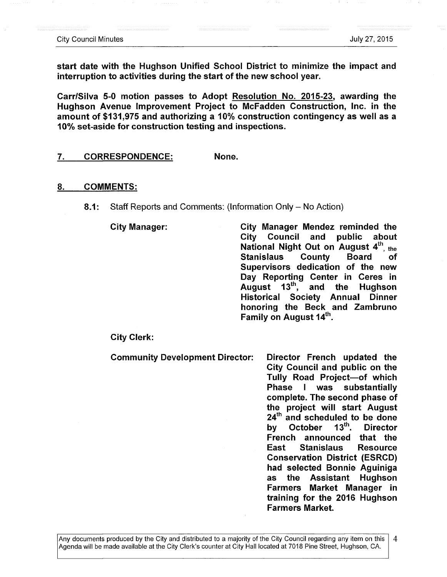**start date with the Hughson Unified School District to minimize the impact and interruption to activities during the start of the new school year.** 

**Carr/Silva 5-0 motion passes to Adopt Resolution No. 2015-23, awarding the Hughson Avenue Improvement Project to McFadden Construction, Inc. in the amount of \$131,975 and authorizing a 10% construction contingency as well as a 10% set-aside for construction testing and inspections.** 

#### 7. **CORRESPONDENCE: None.**

#### **8. COMMENTS:**

**8.1:** Staff Reports and Comments: (Information Only – No Action)

**City Manager: City Manager Mendez reminded the City Council and public about National Night Out on August 4th, the Stanislaus County Board of Supervisors dedication of the new Day Reporting Center in Ceres in August 13\*\*^, and the Hughson Historical Society Annual Dinner honoring the Beck and Zambruno Family on August 14<sup>th</sup>.** 

**City Clerk:** 

**Community Development Director: Director French updated the** 

**City Council and public on the Tully Road Project—of which Phase I was substantially complete. The second phase of the project will start August 24"^ and scheduled to be done**  by October 13<sup>th</sup>, Director **French announced that the East Stanislaus Resource Conservation District (ESRCD) had selected Bonnie Aguiniga as the Assistant Hughson Farmers Market Manager in training for the 2016 Hughson Farmers Market.**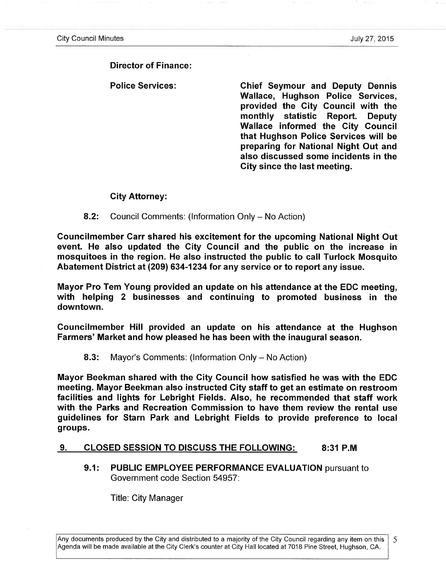# **Director of Finance:**

**Police Services: Chief Seymour and Deputy Dennis Wallace, Hughson Police Services, provided the City Council with the monthly statistic Report. Deputy Wallace informed the City Council that Hughson Police Services will be preparing for National Night Out and also discussed some incidents in the City since the last meeting.** 

## **City Attorney:**

**8.2:** Council Comments: (Information Only - No Action)

**Councilmember Carr shared his excitement for the upcoming National Night Out event. He also updated the City Council and the public on the increase in mosquitoes in the region. He also instructed the public to call Turlock Mosquito Abatement District at (209) 634-1234 for any service or to report any issue.** 

**Mayor Pro Tem Young provided an update on his attendance at the EDC meeting, with helping 2 businesses and continuing to promoted business in the downtown.** 

**Councilmember Hill provided an update on his attendance at the Hughson Farmers' Market and how pleased he has been with the inaugural season.** 

**8.3:** Mayor's Comments: (Information Only - No Action)

**Mayor Beekman shared with the City Council how satisfied he was with the EDC meeting. Mayor Beekman also instructed City staff to get an estimate on restroom facilities and lights for Lebright Fields. Also, he recommended that staff work with the Parks and Recreation Commission to have them review the rental use guidelines for Starn Park and Lebright Fields to provide preference to local groups.** 

# **9. CLOSED SESSION TO DISCUSS THE FOLLOWING: 8:31 P.M**

**9.1: PUBLIC EMPLOYEE PERFORMANCE EVALUATION** pursuant to Government code Section 54957:

Title: City Manager

Any documents produced by the City and distributed to a majority of the City Council regarding any item on this 5 Agenda will be made available at the City Clerk's counter at City Hall located at 7018 Pine Street, Hughson, CA.